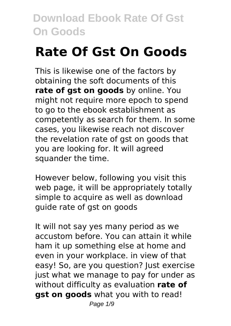# **Rate Of Gst On Goods**

This is likewise one of the factors by obtaining the soft documents of this **rate of gst on goods** by online. You might not require more epoch to spend to go to the ebook establishment as competently as search for them. In some cases, you likewise reach not discover the revelation rate of gst on goods that you are looking for. It will agreed squander the time.

However below, following you visit this web page, it will be appropriately totally simple to acquire as well as download guide rate of gst on goods

It will not say yes many period as we accustom before. You can attain it while ham it up something else at home and even in your workplace. in view of that easy! So, are you question? Just exercise just what we manage to pay for under as without difficulty as evaluation **rate of gst on goods** what you with to read!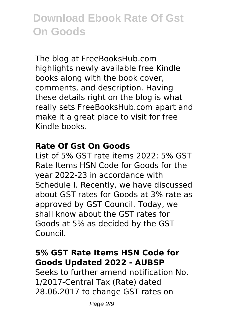The blog at FreeBooksHub.com highlights newly available free Kindle books along with the book cover, comments, and description. Having these details right on the blog is what really sets FreeBooksHub.com apart and make it a great place to visit for free Kindle books.

#### **Rate Of Gst On Goods**

List of 5% GST rate items 2022: 5% GST Rate Items HSN Code for Goods for the year 2022-23 in accordance with Schedule I. Recently, we have discussed about GST rates for Goods at 3% rate as approved by GST Council. Today, we shall know about the GST rates for Goods at 5% as decided by the GST Council.

# **5% GST Rate Items HSN Code for Goods Updated 2022 - AUBSP**

Seeks to further amend notification No. 1/2017-Central Tax (Rate) dated 28.06.2017 to change GST rates on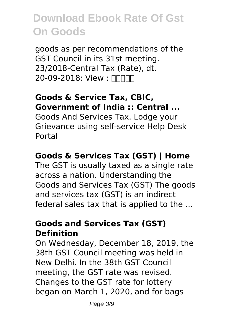goods as per recommendations of the GST Council in its 31st meeting. 23/2018-Central Tax (Rate), dt. 20-09-2018: View :  $\Box\Box\Box\Box$ 

#### **Goods & Service Tax, CBIC, Government of India :: Central ...**

Goods And Services Tax. Lodge your Grievance using self-service Help Desk Portal

# **Goods & Services Tax (GST) | Home**

The GST is usually taxed as a single rate across a nation. Understanding the Goods and Services Tax (GST) The goods and services tax (GST) is an indirect federal sales tax that is applied to the ...

#### **Goods and Services Tax (GST) Definition**

On Wednesday, December 18, 2019, the 38th GST Council meeting was held in New Delhi. In the 38th GST Council meeting, the GST rate was revised. Changes to the GST rate for lottery began on March 1, 2020, and for bags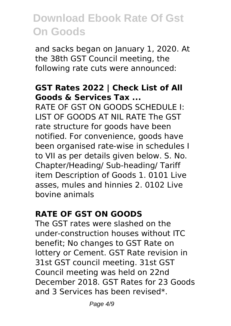and sacks began on January 1, 2020. At the 38th GST Council meeting, the following rate cuts were announced:

#### **GST Rates 2022 | Check List of All Goods & Services Tax ...**

RATE OF GST ON GOODS SCHEDULE I: LIST OF GOODS AT NIL RATE The GST rate structure for goods have been notified. For convenience, goods have been organised rate-wise in schedules I to VII as per details given below. S. No. Chapter/Heading/ Sub-heading/ Tariff item Description of Goods 1. 0101 Live asses, mules and hinnies 2. 0102 Live bovine animals

### **RATE OF GST ON GOODS**

The GST rates were slashed on the under-construction houses without ITC benefit; No changes to GST Rate on lottery or Cement. GST Rate revision in 31st GST council meeting. 31st GST Council meeting was held on 22nd December 2018. GST Rates for 23 Goods and 3 Services has been revised\*.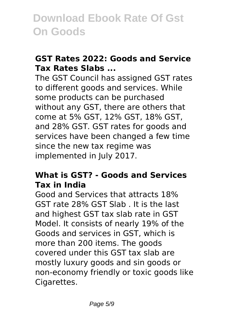### **GST Rates 2022: Goods and Service Tax Rates Slabs ...**

The GST Council has assigned GST rates to different goods and services. While some products can be purchased without any GST, there are others that come at 5% GST, 12% GST, 18% GST, and 28% GST. GST rates for goods and services have been changed a few time since the new tax regime was implemented in July 2017.

#### **What is GST? - Goods and Services Tax in India**

Good and Services that attracts 18% GST rate 28% GST Slab . It is the last and highest GST tax slab rate in GST Model. It consists of nearly 19% of the Goods and services in GST, which is more than 200 items. The goods covered under this GST tax slab are mostly luxury goods and sin goods or non-economy friendly or toxic goods like Cigarettes.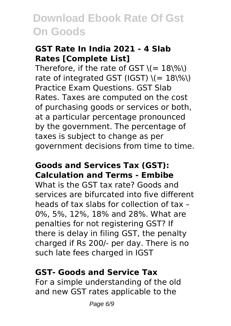### **GST Rate In India 2021 - 4 Slab Rates [Complete List]**

Therefore, if the rate of GST  $\zeta$  = 18\%\) rate of integrated GST (IGST)  $\(- 18\%)$ Practice Exam Questions. GST Slab Rates. Taxes are computed on the cost of purchasing goods or services or both, at a particular percentage pronounced by the government. The percentage of taxes is subject to change as per government decisions from time to time.

### **Goods and Services Tax (GST): Calculation and Terms - Embibe**

What is the GST tax rate? Goods and services are bifurcated into five different heads of tax slabs for collection of tax – 0%, 5%, 12%, 18% and 28%. What are penalties for not registering GST? If there is delay in filing GST, the penalty charged if Rs 200/- per day. There is no such late fees charged in IGST

### **GST- Goods and Service Tax**

For a simple understanding of the old and new GST rates applicable to the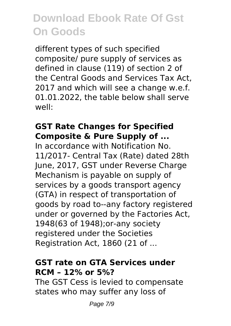different types of such specified composite/ pure supply of services as defined in clause (119) of section 2 of the Central Goods and Services Tax Act, 2017 and which will see a change w.e.f. 01.01.2022, the table below shall serve well:

#### **GST Rate Changes for Specified Composite & Pure Supply of ...**

In accordance with Notification No. 11/2017- Central Tax (Rate) dated 28th June, 2017, GST under Reverse Charge Mechanism is payable on supply of services by a goods transport agency (GTA) in respect of transportation of goods by road to--any factory registered under or governed by the Factories Act, 1948(63 of 1948);or-any society registered under the Societies Registration Act, 1860 (21 of ...

#### **GST rate on GTA Services under RCM – 12% or 5%?**

The GST Cess is levied to compensate states who may suffer any loss of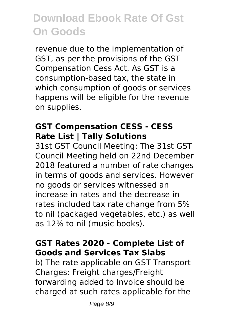revenue due to the implementation of GST, as per the provisions of the GST Compensation Cess Act. As GST is a consumption-based tax, the state in which consumption of goods or services happens will be eligible for the revenue on supplies.

### **GST Compensation CESS - CESS Rate List | Tally Solutions**

31st GST Council Meeting: The 31st GST Council Meeting held on 22nd December 2018 featured a number of rate changes in terms of goods and services. However no goods or services witnessed an increase in rates and the decrease in rates included tax rate change from 5% to nil (packaged vegetables, etc.) as well as 12% to nil (music books).

### **GST Rates 2020 - Complete List of Goods and Services Tax Slabs**

b) The rate applicable on GST Transport Charges: Freight charges/Freight forwarding added to Invoice should be charged at such rates applicable for the